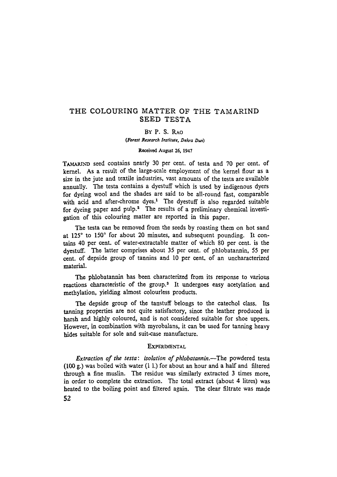## **THE COLOURING MATTER OF THE TAMARIND SEED TESTA**

**BY P. S. RAO** 

*(Forest Research Institute, Dehra Dun)* 

**Reccivcd August 26, 1947** 

TAMARIND seed contains nearly 30 per cent. of testa and 70 per cent. of **kernel. As a result of the large-scale employment of the kerneI flour asa**  size in the jute and textile industries, vast amounts of the testa are available **annuaUy. The testa contains a dyestuff which is used by indigenous dyers for dyeing wool and the shades are said to be all-round fast, comparable**  with acid and after-chrome dyes.<sup>1</sup> The dyestuff is also regarded suitable for dyeing paper and pulp.<sup>2</sup> The results of a preliminary chemical investigation of this colouring matter are reported in this paper.

**The testa can be removed from the seeds by roasting them on hot sand**  at 125<sup>°</sup> to 150<sup>°</sup> for about 20 minutes, and subsequent pounding. It con**tains 40 per cent. of water-extractable matter of which 80 per cent. is the dyestuff. The latter comprises about 35 per cent. of phlobatannin, 55 per**  cent. of depside group of tannins and 10 per cent. of an uncharacterized **material.** 

The phlobatannin has been characterized from its response to various reactions characteristic of the group.<sup>3</sup> It undergoes easy acetylation and **methylafion, yielding almost colourless products.** 

**The depside group of the tanstuff belongs to the catechol class. Its tanning properties are not quite satisfactory, since the leather produced is harsh and highly coloured, and is not considered suitable for shoe uppers.**  However, in combination with myrobalans, it can be used for tanning heavy **hides suitable for sole and suit-case manufacture.** 

## **EXPERIMENTAL**

*Extraction of the testa: isolation of phlobatannin.*-The powdered testa (100 g.) was boiled with water (1 l.) for about an hour and a half and filtered **through a fine muslin. The residue was similarly extracted 3 times more, in order to complete the extraction. The total extract (about 4 litres) was heated to the boiling point and filtered again. The clear filtrate was made 52**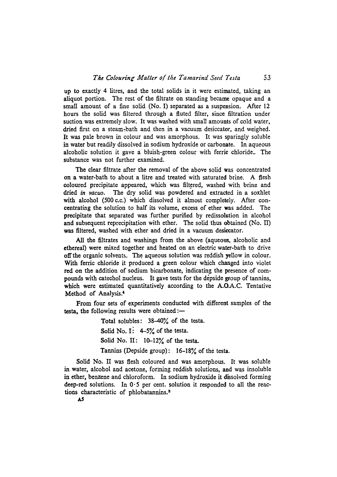up to exactly 4 litres, and the total solids in it were estimated, taking an **aliquot portion.** The rest of the filtrate on standing became opaque and a **sma11 amount of a fine solid (No. I) separated as a suspension. After 12 hours the solid was filtered through a fluted filter, since filtration under**  suction was extremely slow. It was washed with small amounts of cold water, dried first on a steam-bath and then in a vacuum desiccator, and weighed. **Ir was pale brown in colour and was amorphous. It was sparingly soluble**  in water but readily dissolved in sodium hydroxide or carbonate. In aqueous alcoholic solution it gave a bluish-green colour with ferric chloride. The **substance was not further examined.** 

**The clear filtrate after the removal of the above solid was concentrated on a water-bath to about a litre and treated with saturated brine. A flesh eoloured precipitate appeared, which was filtered, washed with brine and**  dried *in vacuo*. The dry solid was powdered and extracted in a soxhlet with alcohol (500 c.c.) which dissolved it almost completely. After con**centrating the solution to hall its volume, excess of ether was added. The**  precipitate that separated was further purified by redissolution in alcohol **and subsequent reprecipitation with ether. The solid thus obtained (No. II)**  was filtered, washed with ether and dried in a vacuum desiccator.

**AU the filtrates and washings from the above (aqueous, alcoholic and ethereal)** were mixed together and heated on an electric water-bath to drive **off the organic solvents.** The aqueous solution was reddish yellow in colour. With ferric chloride it produced a green colour which changed into violet red on the addition of sodium bicarbonate, indicating the presence of com**pounds with catechol nucleus.** It gave tests for the depside group of tannins, **which were estimated quantitatively according to the A.O.A.C. Tentative**  Method of Analysis.<sup>4</sup>

From four sets of experiments conducted with different samples of the testa, the following results were obtained :-

> Total solubles: 38-40% of the testa. Solid No. I:  $4-5\%$  of the testa. Solid No. II: 10-12% of the testa. Tannins (Depside group): 16-18% of the testa.

**Solid No. II was flesh colourcd and was amorphous. Ir was soluble in water, alcohol and acetonc, forming rcddish solutions, and was insoluble in cther, benzcne and chloroform. In sodium hydroxide it dissolvcd forming**  deep-red solutions. In  $0.5$  per cent. solution it responded to all the reac**tions characteristic of phlobatannins. 3**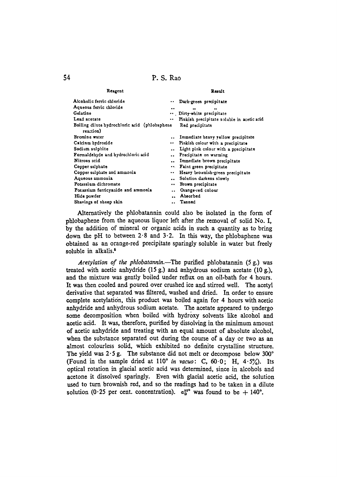P. S. Rao

| Reagent                                                    | Result                                                       |
|------------------------------------------------------------|--------------------------------------------------------------|
| Alcoholic ferric chloride                                  | Dark-green precipitate                                       |
| Aqueous ferric chloride                                    | <br>$^{\bullet}$<br>                                         |
| Gelatine                                                   | Dirty-white precipitate                                      |
| Lead acetate                                               | Pinkish precipitate soluble in acetic acid                   |
| Boiling dilute hydrochloric acid (phiobaphene<br>reaction) | Red precipitate                                              |
| Bromine water                                              | Immediate heavy yellow precipitate                           |
| Calcium hydroxide                                          | Pinkish colour with a precipitate<br>$\bullet$               |
| Sodium sulphite                                            | Light pink colour with a precipitate<br>$\ddot{\phantom{a}}$ |
| Formaldehyde and hydrochloric acid                         | Precipitate on warming                                       |
| Nitrous acid                                               | Immediate brown precipitate                                  |
| Copper sulphate                                            | Faint green precipitate                                      |
| Copper sulphate and ammonia                                | Heavy brownish-green precipitate<br>$\bullet$ $\bullet$      |
| Aqueous ammonia                                            | Solution darkens slowly<br>                                  |
| Potassium dichromate                                       | Brown precipitate<br>$\bullet$                               |
| Potassium ferricyanide and ammonia                         | Orange-red colour<br>$\ddot{\phantom{0}}$                    |
| Hide powder                                                | Absorbed                                                     |
| Shavings of sheep skin                                     | Tanned                                                       |

Alternatively the phlobatannin could also be isolated in the form of phlobaphene from the aqueous liquor left after the removal of solid No. I. by the addition of mineral or organic acids in such a quantity as to bring down the pH to between  $2.8$  and  $3.2$ . In this way, the phlobaphene was obtained as an orange-red precipitate sparingly soluble in water but freely soluble in alkalis.<sup>5</sup>

Acetylation of the phlobatannin.—The purified phlobatannin (5 g.) was treated with acetic anhydride  $(15 g)$  and anhydrous sodium acetate  $(10 g)$ . and the mixture was gently boiled under reflux on an oil-bath for 4 hours. It was then cooled and poured over crushed ice and stirred well. The acetyl derivative that separated was filtered, washed and dried. In order to ensure complete acetylation, this product was boiled again for 4 hours with acetic anhydride and anhydrous sodium acetate. The acetate appeared to undergo some decomposition when boiled with hydroxy solvents like alcohol and acetic acid. It was, therefore, purified by dissolving in the minimum amount of acetic anhydride and treating with an equal amount of absolute alcohol, when the substance separated out during the course of a day or two as an almost colourless solid, which exhibited no definite crystalline structure. The yield was  $2.5$  g. The substance did not melt or decompose below  $300^{\circ}$ (Found in the sample dried at  $110^{\circ}$  in vacuo: C, 60.0; H, 4.5%). Its optical rotation in glacial acetic acid was determined, since in alcohols and acetone it dissolved sparingly. Even with glacial acetic acid, the solution used to turn brownish red, and so the readings had to be taken in a dilute solution (0.25 per cent. concentration).  $a_D^{30}$  was found to be + 140°.

54